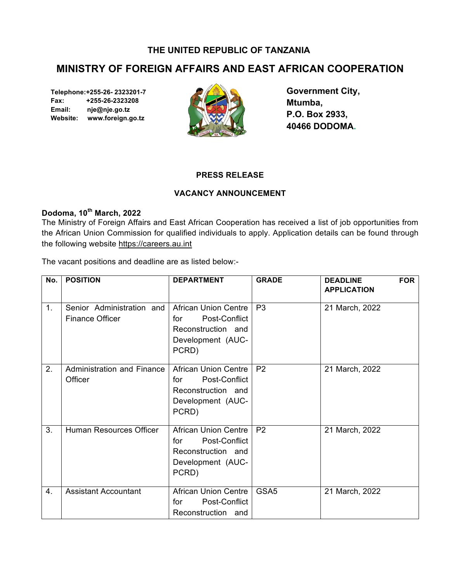### **THE UNITED REPUBLIC OF TANZANIA**

# **MINISTRY OF FOREIGN AFFAIRS AND EAST AFRICAN COOPERATION**

**Telephone:+255-26- 2323201-7 Fax: +255-26-2323208 Email: nje@nje.go.tz Website: www.foreign.go.tz** 



**Government City, Mtumba, P.O. Box 2933, 40466 DODOMA.**

#### **PRESS RELEASE**

## **VACANCY ANNOUNCEMENT**

## **Dodoma, 10th March, 2022**

The Ministry of Foreign Affairs and East African Cooperation has received a list of job opportunities from the African Union Commission for qualified individuals to apply. Application details can be found through the following website https://careers.au.int

The vacant positions and deadline are as listed below:-

| No. | <b>POSITION</b>                                     | <b>DEPARTMENT</b>                                                                                       | <b>GRADE</b>     | <b>DEADLINE</b><br><b>FOR</b><br><b>APPLICATION</b> |
|-----|-----------------------------------------------------|---------------------------------------------------------------------------------------------------------|------------------|-----------------------------------------------------|
| 1.  | Senior Administration and<br><b>Finance Officer</b> | <b>African Union Centre</b><br>Post-Conflict<br>for<br>Reconstruction and<br>Development (AUC-<br>PCRD) | P <sub>3</sub>   | 21 March, 2022                                      |
| 2.  | <b>Administration and Finance</b><br>Officer        | <b>African Union Centre</b><br>Post-Conflict<br>for<br>Reconstruction and<br>Development (AUC-<br>PCRD) | P <sub>2</sub>   | 21 March, 2022                                      |
| 3.  | Human Resources Officer                             | <b>African Union Centre</b><br>Post-Conflict<br>for<br>Reconstruction and<br>Development (AUC-<br>PCRD) | P <sub>2</sub>   | 21 March, 2022                                      |
| 4.  | <b>Assistant Accountant</b>                         | <b>African Union Centre</b><br>Post-Conflict<br>for<br>Reconstruction and                               | GSA <sub>5</sub> | 21 March, 2022                                      |